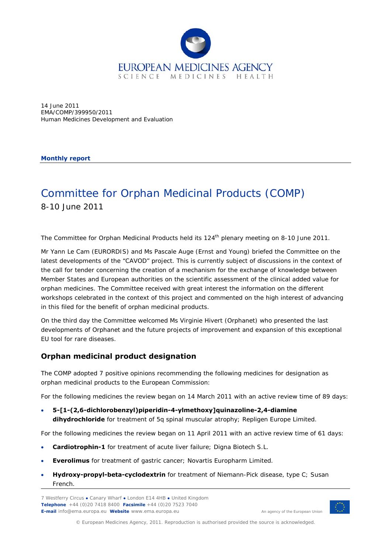

14 June 2011 EMA/COMP/399950/2011 Human Medicines Development and Evaluation

**Monthly report** 

# Committee for Orphan Medicinal Products (COMP) 8-10 June 2011

The Committee for Orphan Medicinal Products held its 124<sup>th</sup> plenary meeting on 8-10 June 2011.

Mr Yann Le Cam (EURORDIS) and Ms Pascale Auge (Ernst and Young) briefed the Committee on the latest developments of the "CAVOD" project. This is currently subject of discussions in the context of the call for tender concerning the creation of a mechanism for the exchange of knowledge between Member States and European authorities on the scientific assessment of the clinical added value for orphan medicines. The Committee received with great interest the information on the different workshops celebrated in the context of this project and commented on the high interest of advancing in this filed for the benefit of orphan medicinal products.

On the third day the Committee welcomed Ms Virginie Hivert (Orphanet) who presented the last developments of Orphanet and the future projects of improvement and expansion of this exceptional EU tool for rare diseases.

### **Orphan medicinal product designation**

The COMP adopted 7 positive opinions recommending the following medicines for designation as orphan medicinal products to the European Commission:

For the following medicines the review began on 14 March 2011 with an active review time of 89 days:

 **5-[1-(2,6-dichlorobenzyl)piperidin-4-ylmethoxy]quinazoline-2,4-diamine dihydrochloride** for treatment of 5q spinal muscular atrophy; Repligen Europe Limited.

For the following medicines the review began on 11 April 2011 with an active review time of 61 days:

- **Cardiotrophin-1** for treatment of acute liver failure; Digna Biotech S.L.
- **Everolimus** for treatment of gastric cancer; Novartis Europharm Limited.
- **Hydroxy-propyl-beta-cyclodextrin** for treatment of Niemann-Pick disease, type C; Susan French.

7 Westferry Circus **●** Canary Wharf **●** London E14 4HB **●** United Kingdom **Telephone** +44 (0)20 7418 8400 **Facsimile** +44 (0)20 7523 7040 **E-mail** info@ema.europa.eu **Website** www.ema.europa.eu <br> **E-mail** info@ema.europa.eu **Website** www.ema.europa.eu



© European Medicines Agency, 2011. Reproduction is authorised provided the source is acknowledged.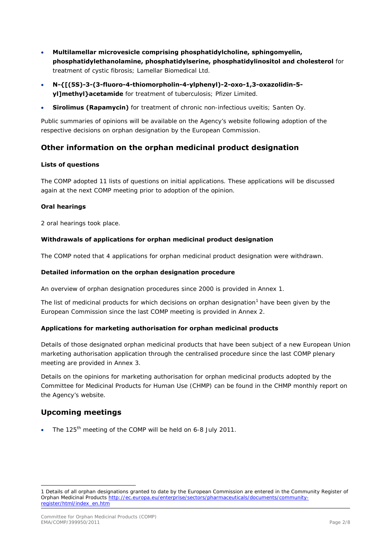- **Multilamellar microvesicle comprising phosphatidylcholine, sphingomyelin, phosphatidylethanolamine, phosphatidylserine, phosphatidylinositol and cholesterol** for treatment of cystic fibrosis; Lamellar Biomedical Ltd.
- **N-{[(5S)-3-(3-fluoro-4-thiomorpholin-4-ylphenyl)-2-oxo-1,3-oxazolidin-5 yl]methyl}acetamide** for treatment of tuberculosis; Pfizer Limited.
- **Sirolimus (Rapamycin)** for treatment of chronic non-infectious uveitis; Santen Oy.

Public summaries of opinions will be available on the Agency's website following adoption of the respective decisions on orphan designation by the European Commission.

### **Other information on the orphan medicinal product designation**

#### **Lists of questions**

The COMP adopted 11 lists of questions on initial applications. These applications will be discussed again at the next COMP meeting prior to adoption of the opinion.

#### **Oral hearings**

2 oral hearings took place.

#### **Withdrawals of applications for orphan medicinal product designation**

The COMP noted that 4 applications for orphan medicinal product designation were withdrawn.

#### **Detailed information on the orphan designation procedure**

An overview of orphan designation procedures since 2000 is provided in Annex 1.

The list of medicinal products for which decisions on orphan designation<sup>[1](#page-1-0)</sup> have been given by the European Commission since the last COMP meeting is provided in Annex 2.

#### **Applications for marketing authorisation for orphan medicinal products**

Details of those designated orphan medicinal products that have been subject of a new European Union marketing authorisation application through the centralised procedure since the last COMP plenary meeting are provided in Annex 3.

Details on the opinions for marketing authorisation for orphan medicinal products adopted by the Committee for Medicinal Products for Human Use (CHMP) can be found in the CHMP monthly report on the Agency's website.

### **Upcoming meetings**

ł

The 125<sup>th</sup> meeting of the COMP will be held on 6-8 July 2011.

<span id="page-1-0"></span><sup>1</sup> Details of all orphan designations granted to date by the European Commission are entered in the Community Register of Orphan Medicinal Products [http://ec.europa.eu/enterprise/sectors/pharmaceuticals/documents/community](http://ec.europa.eu/enterprise/sectors/pharmaceuticals/documents/community-register/html/index_en.htm)[register/html/index\\_en.htm](http://ec.europa.eu/enterprise/sectors/pharmaceuticals/documents/community-register/html/index_en.htm)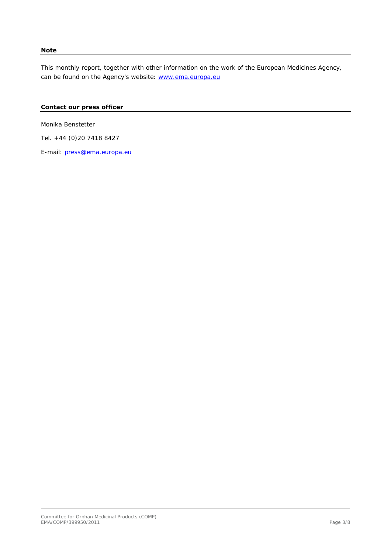#### **Note**

This monthly report, together with other information on the work of the European Medicines Agency, can be found on the Agency's website: [www.ema.europa.eu](http://www.ema.europa.eu/)

#### **Contact our press officer**

Monika Benstetter

Tel. +44 (0)20 7418 8427

E-mail: [press@ema.europa.eu](mailto:press@ema.europa.eu)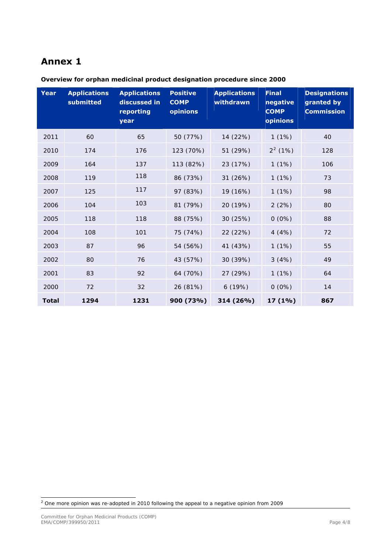## **Annex 1**

| Year         | <b>Applications</b><br>submitted | <b>Applications</b><br>discussed in<br>reporting<br>year | <b>Positive</b><br><b>COMP</b><br>opinions | <b>Applications</b><br>withdrawn | <b>Final</b><br>negative<br><b>COMP</b><br>opinions | <b>Designations</b><br>granted by<br><b>Commission</b> |
|--------------|----------------------------------|----------------------------------------------------------|--------------------------------------------|----------------------------------|-----------------------------------------------------|--------------------------------------------------------|
| 2011         | 60                               | 65                                                       | 50 (77%)                                   | 14 (22%)                         | 1(1%)                                               | 40                                                     |
| 2010         | 174                              | 176                                                      | 123 (70%)                                  | 51 (29%)                         | $2^2$ (1%)                                          | 128                                                    |
| 2009         | 164                              | 137                                                      | 113 (82%)                                  | 23 (17%)                         | 1(1%)                                               | 106                                                    |
| 2008         | 119                              | 118                                                      | 86 (73%)                                   | 31 (26%)                         | 1(1%)                                               | 73                                                     |
| 2007         | 125                              | 117                                                      | 97 (83%)                                   | 19 (16%)                         | 1(1%)                                               | 98                                                     |
| 2006         | 104                              | 103                                                      | 81 (79%)                                   | 20 (19%)                         | 2(2%)                                               | 80                                                     |
| 2005         | 118                              | 118                                                      | 88 (75%)                                   | 30 (25%)                         | $0(0\%)$                                            | 88                                                     |
| 2004         | 108                              | 101                                                      | 75 (74%)                                   | 22 (22%)                         | 4(4%)                                               | 72                                                     |
| 2003         | 87                               | 96                                                       | 54 (56%)                                   | 41 (43%)                         | 1(1%)                                               | 55                                                     |
| 2002         | 80                               | 76                                                       | 43 (57%)                                   | 30 (39%)                         | 3(4%)                                               | 49                                                     |
| 2001         | 83                               | 92                                                       | 64 (70%)                                   | 27 (29%)                         | 1(1%)                                               | 64                                                     |
| 2000         | 72                               | 32                                                       | 26 (81%)                                   | 6(19%)                           | $0(0\%)$                                            | 14                                                     |
| <b>Total</b> | 1294                             | 1231                                                     | 900 (73%)                                  | 314 (26%)                        | 17(1%)                                              | 867                                                    |

**Overview for orphan medicinal product designation procedure since 2000** 

<span id="page-3-0"></span>2 One more opinion was re-adopted in 2010 following the appeal to a negative opinion from 2009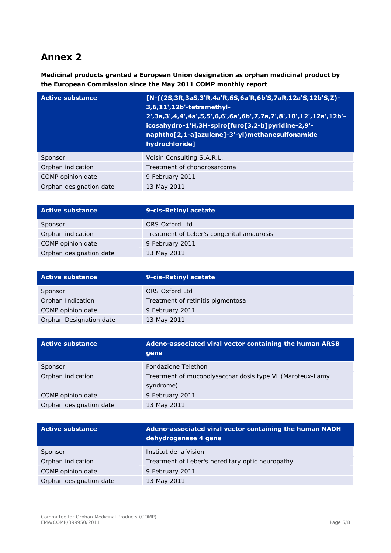# **Annex 2**

**Medicinal products granted a European Union designation as orphan medicinal product by the European Commission since the May 2011 COMP monthly report** 

| <b>Active substance</b> | [N-((2S,3R,3aS,3'R,4a'R,6S,6a'R,6b'S,7aR,12a'S,12b'S,Z)-<br>3,6,11',12b'-tetramethyl-<br>2', 3a, 3', 4, 4', 4a', 5, 5', 6, 6', 6a', 6b', 7, 7a, 7', 8', 10', 12', 12a', 12b'-<br>icosahydro-1'H,3H-spiro[furo[3,2-b]pyridine-2,9'-<br>naphtho[2,1-a]azulene]-3'-yl)methanesulfonamide<br>hydrochloride] |
|-------------------------|---------------------------------------------------------------------------------------------------------------------------------------------------------------------------------------------------------------------------------------------------------------------------------------------------------|
| Sponsor                 | Voisin Consulting S.A.R.L.                                                                                                                                                                                                                                                                              |
| Orphan indication       | Treatment of chondrosarcoma                                                                                                                                                                                                                                                                             |
| COMP opinion date       | 9 February 2011                                                                                                                                                                                                                                                                                         |
| Orphan designation date | 13 May 2011                                                                                                                                                                                                                                                                                             |

| <b>Active substance</b> | 9-cis-Retinyl acetate                     |
|-------------------------|-------------------------------------------|
| Sponsor                 | ORS Oxford Ltd                            |
| Orphan indication       | Treatment of Leber's congenital amaurosis |
| COMP opinion date       | 9 February 2011                           |
| Orphan designation date | 13 May 2011                               |

| <b>Active substance</b> | 9-cis-Retinyl acetate             |
|-------------------------|-----------------------------------|
| Sponsor                 | ORS Oxford Ltd                    |
| Orphan Indication       | Treatment of retinitis pigmentosa |
| COMP opinion date       | 9 February 2011                   |
| Orphan Designation date | 13 May 2011                       |

| <b>Active substance</b> | Adeno-associated viral vector containing the human ARSB<br>gene        |
|-------------------------|------------------------------------------------------------------------|
| Sponsor                 | Fondazione Telethon                                                    |
| Orphan indication       | Treatment of mucopolysaccharidosis type VI (Maroteux-Lamy<br>syndrome) |
| COMP opinion date       | 9 February 2011                                                        |
| Orphan designation date | 13 May 2011                                                            |

| <b>Active substance</b> | Adeno-associated viral vector containing the human NADH<br>dehydrogenase 4 gene |
|-------------------------|---------------------------------------------------------------------------------|
| Sponsor                 | Institut de la Vision                                                           |
| Orphan indication       | Treatment of Leber's hereditary optic neuropathy                                |
| COMP opinion date       | 9 February 2011                                                                 |
| Orphan designation date | 13 May 2011                                                                     |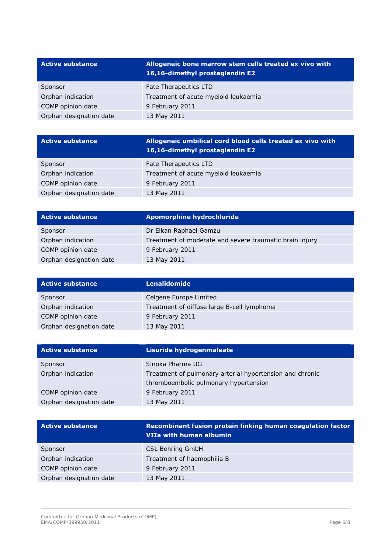| <b>Active substance</b> | Allogeneic bone marrow stem cells treated ex vivo with<br>16,16-dimethyl prostaglandin E2 |
|-------------------------|-------------------------------------------------------------------------------------------|
| Sponsor                 | Fate Therapeutics LTD                                                                     |
| Orphan indication       | Treatment of acute myeloid leukaemia                                                      |
| COMP opinion date       | 9 February 2011                                                                           |
| Orphan designation date | 13 May 2011                                                                               |

| <b>Active substance</b> | Allogeneic umbilical cord blood cells treated ex vivo with<br>16,16-dimethyl prostaglandin E2 |
|-------------------------|-----------------------------------------------------------------------------------------------|
| Sponsor                 | Fate Therapeutics LTD                                                                         |
| Orphan indication       | Treatment of acute myeloid leukaemia                                                          |
| COMP opinion date       | 9 February 2011                                                                               |
| Orphan designation date | 13 May 2011                                                                                   |

| <b>Active substance</b> | <b>Apomorphine hydrochloride</b>                        |
|-------------------------|---------------------------------------------------------|
| Sponsor                 | Dr Elkan Raphael Gamzu                                  |
| Orphan indication       | Treatment of moderate and severe traumatic brain injury |
| COMP opinion date       | 9 February 2011                                         |
| Orphan designation date | 13 May 2011                                             |

| <b>Active substance</b> | <b>Lenalidomide</b>                        |
|-------------------------|--------------------------------------------|
| Sponsor                 | Celgene Europe Limited                     |
| Orphan indication       | Treatment of diffuse large B-cell lymphoma |
| COMP opinion date       | 9 February 2011                            |
| Orphan designation date | 13 May 2011                                |

| <b>Active substance</b> | Lisuride hydrogenmaleate                                 |
|-------------------------|----------------------------------------------------------|
| Sponsor                 | Sinoxa Pharma UG                                         |
| Orphan indication       | Treatment of pulmonary arterial hypertension and chronic |
|                         | thromboembolic pulmonary hypertension                    |
| COMP opinion date       | 9 February 2011                                          |
| Orphan designation date | 13 May 2011                                              |

| <b>Active substance</b> | Recombinant fusion protein linking human coagulation factor<br>VIIa with human albumin |
|-------------------------|----------------------------------------------------------------------------------------|
| Sponsor                 | <b>CSL Behring GmbH</b>                                                                |
| Orphan indication       | Treatment of haemophilia B                                                             |
| COMP opinion date       | 9 February 2011                                                                        |
| Orphan designation date | 13 May 2011                                                                            |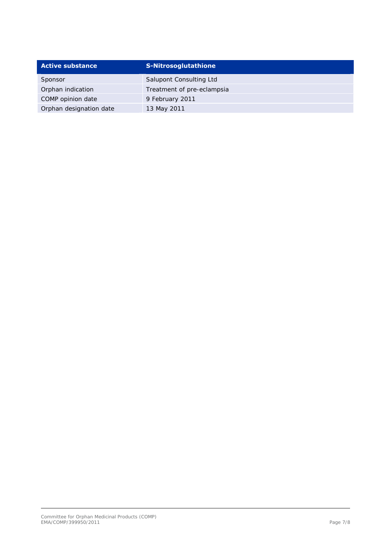| <b>Active substance</b> | <b>S-Nitrosoglutathione</b> |
|-------------------------|-----------------------------|
| Sponsor                 | Salupont Consulting Ltd     |
| Orphan indication       | Treatment of pre-eclampsia  |
| COMP opinion date       | 9 February 2011             |
| Orphan designation date | 13 May 2011                 |